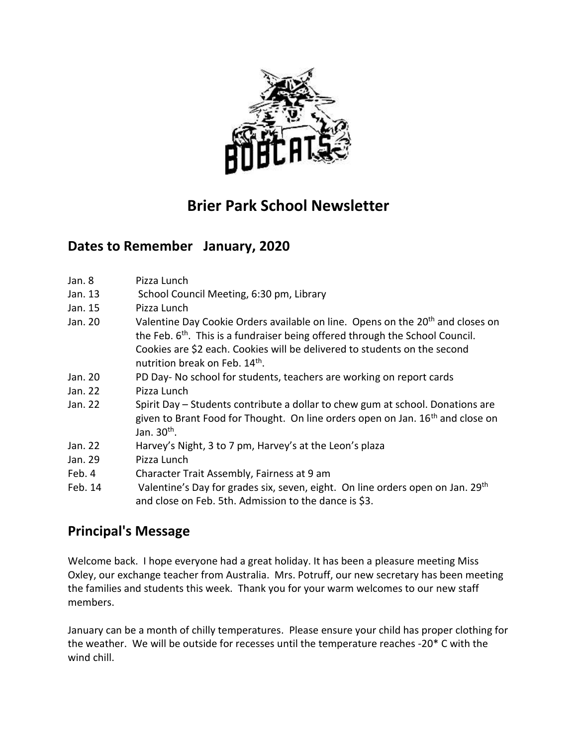

# **Brier Park School Newsletter**

## **Dates to Remember January, 2020**

- Jan. 8 Pizza Lunch
- Jan. 13 School Council Meeting, 6:30 pm, Library
- Jan. 15 Pizza Lunch
- Jan. 20 Valentine Day Cookie Orders available on line. Opens on the 20<sup>th</sup> and closes on the Feb. 6<sup>th</sup>. This is a fundraiser being offered through the School Council. Cookies are \$2 each. Cookies will be delivered to students on the second nutrition break on Feb. 14<sup>th</sup>.
- Jan. 20 PD Day- No school for students, teachers are working on report cards
- Jan. 22 Pizza Lunch
- Jan. 22 Spirit Day Students contribute a dollar to chew gum at school. Donations are given to Brant Food for Thought. On line orders open on Jan. 16<sup>th</sup> and close on Jan. 30<sup>th</sup>.
- Jan. 22 Harvey's Night, 3 to 7 pm, Harvey's at the Leon's plaza
- Jan. 29 Pizza Lunch
- Feb. 4 Character Trait Assembly, Fairness at 9 am
- Feb. 14 Valentine's Day for grades six, seven, eight. On line orders open on Jan. 29<sup>th</sup> and close on Feb. 5th. Admission to the dance is \$3.

## **Principal's Message**

Welcome back. I hope everyone had a great holiday. It has been a pleasure meeting Miss Oxley, our exchange teacher from Australia. Mrs. Potruff, our new secretary has been meeting the families and students this week. Thank you for your warm welcomes to our new staff members.

January can be a month of chilly temperatures. Please ensure your child has proper clothing for the weather. We will be outside for recesses until the temperature reaches -20\* C with the wind chill.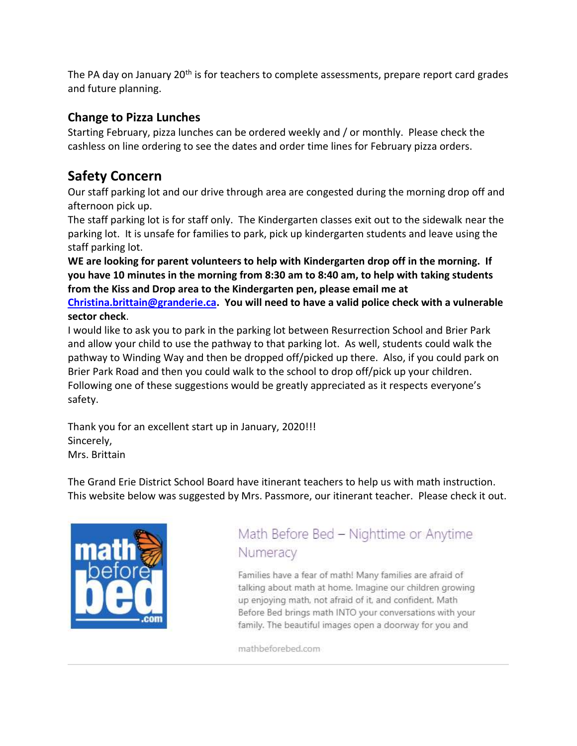The PA day on January 20<sup>th</sup> is for teachers to complete assessments, prepare report card grades and future planning.

### **Change to Pizza Lunches**

Starting February, pizza lunches can be ordered weekly and / or monthly. Please check the cashless on line ordering to see the dates and order time lines for February pizza orders.

## **Safety Concern**

Our staff parking lot and our drive through area are congested during the morning drop off and afternoon pick up.

The staff parking lot is for staff only. The Kindergarten classes exit out to the sidewalk near the parking lot. It is unsafe for families to park, pick up kindergarten students and leave using the staff parking lot.

**WE are looking for parent volunteers to help with Kindergarten drop off in the morning. If you have 10 minutes in the morning from 8:30 am to 8:40 am, to help with taking students from the Kiss and Drop area to the Kindergarten pen, please email me at** 

**[Christina.brittain@granderie.ca.](mailto:Christina.brittain@granderie.ca) You will need to have a valid police check with a vulnerable sector check**.

I would like to ask you to park in the parking lot between Resurrection School and Brier Park and allow your child to use the pathway to that parking lot. As well, students could walk the pathway to Winding Way and then be dropped off/picked up there. Also, if you could park on Brier Park Road and then you could walk to the school to drop off/pick up your children. Following one of these suggestions would be greatly appreciated as it respects everyone's safety.

Thank you for an excellent start up in January, 2020!!! Sincerely, Mrs. Brittain

The Grand Erie District School Board have itinerant teachers to help us with math instruction. This website below was suggested by Mrs. Passmore, our itinerant teacher. Please check it out.



# Math Before Bed - Nighttime or Anytime Numeracy

Families have a fear of math! Many families are afraid of talking about math at home. Imagine our children growing up enjoying math, not afraid of it, and confident. Math Before Bed brings math INTO your conversations with your family. The beautiful images open a doorway for you and

mathbeforebed.com